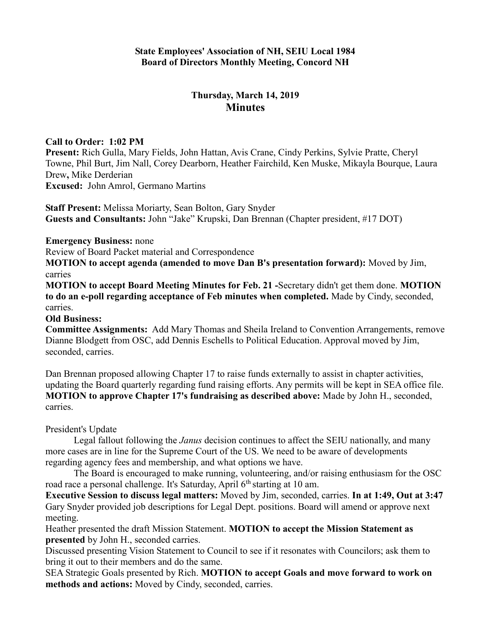# **Thursday, March 14, 2019 Minutes**

### **Call to Order: 1:02 PM**

**Present:** Rich Gulla, Mary Fields, John Hattan, Avis Crane, Cindy Perkins, Sylvie Pratte, Cheryl Towne, Phil Burt, Jim Nall, Corey Dearborn, Heather Fairchild, Ken Muske, Mikayla Bourque, Laura Drew**,** Mike Derderian **Excused:** John Amrol, Germano Martins

**Staff Present:** Melissa Moriarty, Sean Bolton, Gary Snyder **Guests and Consultants:** John "Jake" Krupski, Dan Brennan (Chapter president, #17 DOT)

**Emergency Business:** none

Review of Board Packet material and Correspondence

**MOTION to accept agenda (amended to move Dan B's presentation forward):** Moved by Jim, carries

**MOTION to accept Board Meeting Minutes for Feb. 21 -**Secretary didn't get them done. **MOTION to do an e-poll regarding acceptance of Feb minutes when completed.** Made by Cindy, seconded, carries.

#### **Old Business:**

**Committee Assignments:** Add Mary Thomas and Sheila Ireland to Convention Arrangements, remove Dianne Blodgett from OSC, add Dennis Eschells to Political Education. Approval moved by Jim, seconded, carries.

Dan Brennan proposed allowing Chapter 17 to raise funds externally to assist in chapter activities, updating the Board quarterly regarding fund raising efforts. Any permits will be kept in SEA office file. **MOTION to approve Chapter 17's fundraising as described above:** Made by John H., seconded, carries.

## President's Update

Legal fallout following the *Janus* decision continues to affect the SEIU nationally, and many more cases are in line for the Supreme Court of the US. We need to be aware of developments regarding agency fees and membership, and what options we have.

The Board is encouraged to make running, volunteering, and/or raising enthusiasm for the OSC road race a personal challenge. It's Saturday, April  $6<sup>th</sup>$  starting at 10 am.

**Executive Session to discuss legal matters:** Moved by Jim, seconded, carries. **In at 1:49, Out at 3:47** Gary Snyder provided job descriptions for Legal Dept. positions. Board will amend or approve next meeting.

Heather presented the draft Mission Statement. **MOTION to accept the Mission Statement as presented** by John H., seconded carries.

Discussed presenting Vision Statement to Council to see if it resonates with Councilors; ask them to bring it out to their members and do the same.

SEA Strategic Goals presented by Rich. **MOTION to accept Goals and move forward to work on methods and actions:** Moved by Cindy, seconded, carries.